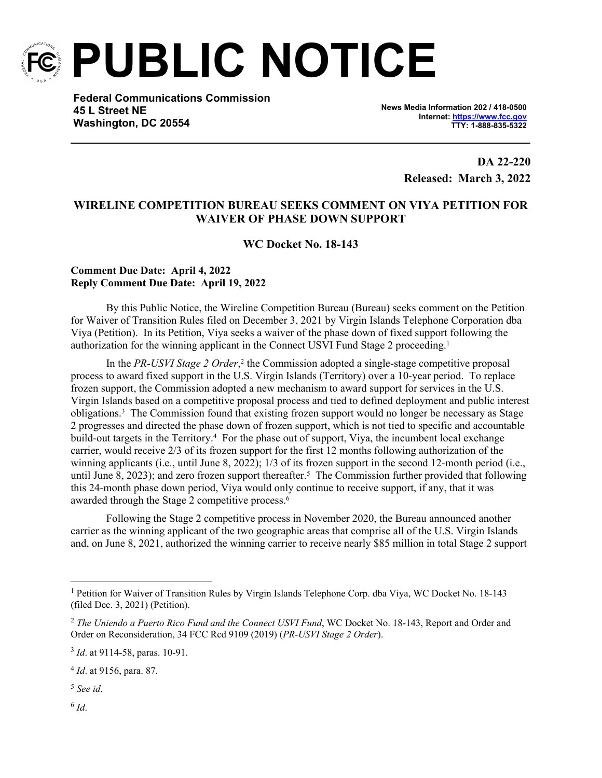

**PUBLIC NOTICE**

**Federal Communications Commission 45 L Street NE Washington, DC 20554**

**News Media Information 202 / 418-0500 Internet:<https://www.fcc.gov> TTY: 1-888-835-5322**

> **DA 22-220 Released: March 3, 2022**

## **WIRELINE COMPETITION BUREAU SEEKS COMMENT ON VIYA PETITION FOR WAIVER OF PHASE DOWN SUPPORT**

**WC Docket No. 18-143**

## **Comment Due Date: April 4, 2022 Reply Comment Due Date: April 19, 2022**

By this Public Notice, the Wireline Competition Bureau (Bureau) seeks comment on the Petition for Waiver of Transition Rules filed on December 3, 2021 by Virgin Islands Telephone Corporation dba Viya (Petition). In its Petition, Viya seeks a waiver of the phase down of fixed support following the authorization for the winning applicant in the Connect USVI Fund Stage 2 proceeding.<sup>1</sup>

In the *PR-USVI Stage 2 Order*,<sup>2</sup> the Commission adopted a single-stage competitive proposal process to award fixed support in the U.S. Virgin Islands (Territory) over a 10-year period. To replace frozen support, the Commission adopted a new mechanism to award support for services in the U.S. Virgin Islands based on a competitive proposal process and tied to defined deployment and public interest obligations.<sup>3</sup> The Commission found that existing frozen support would no longer be necessary as Stage 2 progresses and directed the phase down of frozen support, which is not tied to specific and accountable build-out targets in the Territory.<sup>4</sup> For the phase out of support, Viya, the incumbent local exchange carrier, would receive 2/3 of its frozen support for the first 12 months following authorization of the winning applicants (i.e., until June 8, 2022); 1/3 of its frozen support in the second 12-month period (i.e., until June 8, 2023); and zero frozen support thereafter.<sup>5</sup> The Commission further provided that following this 24-month phase down period, Viya would only continue to receive support, if any, that it was awarded through the Stage 2 competitive process.<sup>6</sup>

Following the Stage 2 competitive process in November 2020, the Bureau announced another carrier as the winning applicant of the two geographic areas that comprise all of the U.S. Virgin Islands and, on June 8, 2021, authorized the winning carrier to receive nearly \$85 million in total Stage 2 support

<sup>5</sup> *See id*.

6 *Id*.

<sup>&</sup>lt;sup>1</sup> Petition for Waiver of Transition Rules by Virgin Islands Telephone Corp. dba Viya, WC Docket No. 18-143 (filed Dec. 3, 2021) (Petition).

<sup>2</sup> *The Uniendo a Puerto Rico Fund and the Connect USVI Fund*, WC Docket No. 18-143, Report and Order and Order on Reconsideration, 34 FCC Rcd 9109 (2019) (*PR-USVI Stage 2 Order*).

<sup>3</sup> *Id*. at 9114-58, paras. 10-91.

<sup>4</sup> *Id*. at 9156, para. 87.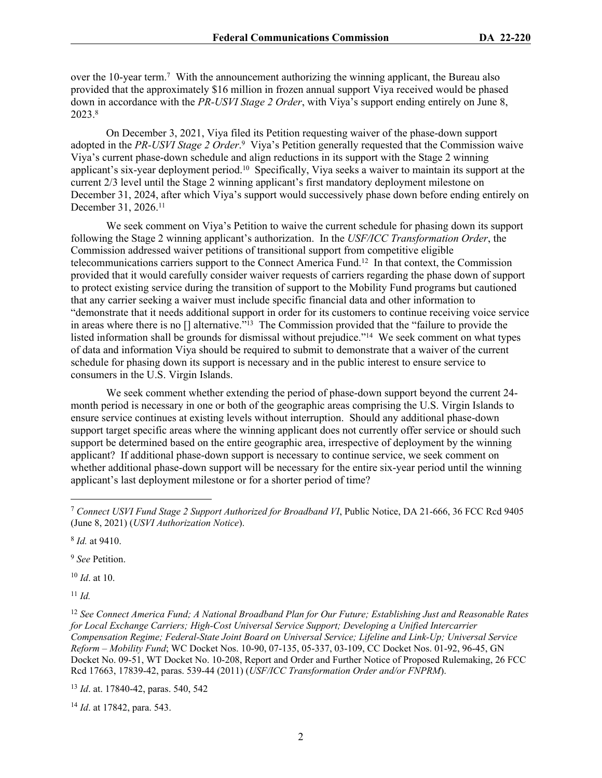over the 10-year term.<sup>7</sup> With the announcement authorizing the winning applicant, the Bureau also provided that the approximately \$16 million in frozen annual support Viya received would be phased down in accordance with the *PR-USVI Stage 2 Order*, with Viya's support ending entirely on June 8, 2023.<sup>8</sup>

On December 3, 2021, Viya filed its Petition requesting waiver of the phase-down support adopted in the *PR-USVI Stage 2 Order*.<sup>9</sup> Viya's Petition generally requested that the Commission waive Viya's current phase-down schedule and align reductions in its support with the Stage 2 winning applicant's six-year deployment period.<sup>10</sup> Specifically, Viya seeks a waiver to maintain its support at the current 2/3 level until the Stage 2 winning applicant's first mandatory deployment milestone on December 31, 2024, after which Viya's support would successively phase down before ending entirely on December 31, 2026.<sup>11</sup>

We seek comment on Viya's Petition to waive the current schedule for phasing down its support following the Stage 2 winning applicant's authorization. In the *USF/ICC Transformation Order*, the Commission addressed waiver petitions of transitional support from competitive eligible telecommunications carriers support to the Connect America Fund.<sup>12</sup> In that context, the Commission provided that it would carefully consider waiver requests of carriers regarding the phase down of support to protect existing service during the transition of support to the Mobility Fund programs but cautioned that any carrier seeking a waiver must include specific financial data and other information to "demonstrate that it needs additional support in order for its customers to continue receiving voice service in areas where there is no [] alternative."<sup>13</sup> The Commission provided that the "failure to provide the listed information shall be grounds for dismissal without prejudice."<sup>14</sup> We seek comment on what types of data and information Viya should be required to submit to demonstrate that a waiver of the current schedule for phasing down its support is necessary and in the public interest to ensure service to consumers in the U.S. Virgin Islands.

We seek comment whether extending the period of phase-down support beyond the current 24 month period is necessary in one or both of the geographic areas comprising the U.S. Virgin Islands to ensure service continues at existing levels without interruption. Should any additional phase-down support target specific areas where the winning applicant does not currently offer service or should such support be determined based on the entire geographic area, irrespective of deployment by the winning applicant? If additional phase-down support is necessary to continue service, we seek comment on whether additional phase-down support will be necessary for the entire six-year period until the winning applicant's last deployment milestone or for a shorter period of time?

8 *Id.* at 9410.

<sup>9</sup> *See* Petition.

<sup>10</sup> *Id*. at 10.

<sup>11</sup> *Id.*

<sup>12</sup> *See Connect America Fund; A National Broadband Plan for Our Future; Establishing Just and Reasonable Rates for Local Exchange Carriers; High-Cost Universal Service Support; Developing a Unified Intercarrier Compensation Regime; Federal-State Joint Board on Universal Service; Lifeline and Link-Up; Universal Service Reform – Mobility Fund*; WC Docket Nos. 10-90, 07-135, 05-337, 03-109, CC Docket Nos. 01-92, 96-45, GN Docket No. 09-51, WT Docket No. 10-208, Report and Order and Further Notice of Proposed Rulemaking, 26 FCC Rcd 17663, 17839-42, paras. 539-44 (2011) (*USF/ICC Transformation Order and/or FNPRM*).

<sup>13</sup> *Id*. at. 17840-42, paras. 540, 542

<sup>14</sup> *Id*. at 17842, para. 543.

<sup>7</sup> *Connect USVI Fund Stage 2 Support Authorized for Broadband VI*, Public Notice, DA 21-666, 36 FCC Rcd 9405 (June 8, 2021) (*USVI Authorization Notice*).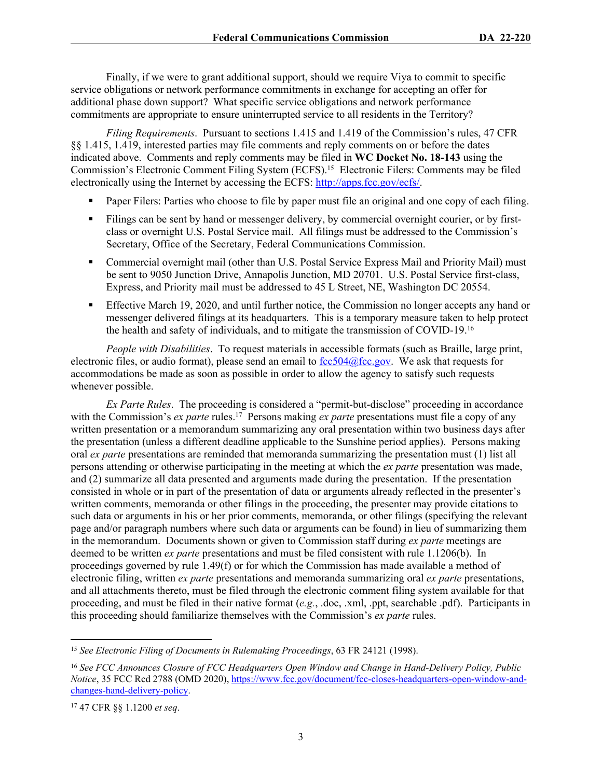Finally, if we were to grant additional support, should we require Viya to commit to specific service obligations or network performance commitments in exchange for accepting an offer for additional phase down support? What specific service obligations and network performance commitments are appropriate to ensure uninterrupted service to all residents in the Territory?

*Filing Requirements*. Pursuant to sections 1.415 and 1.419 of the Commission's rules, 47 CFR §§ 1.415, 1.419, interested parties may file comments and reply comments on or before the dates indicated above. Comments and reply comments may be filed in **WC Docket No. 18-143** using the Commission's Electronic Comment Filing System (ECFS).<sup>15</sup> Electronic Filers: Comments may be filed electronically using the Internet by accessing the ECFS: [http://apps.fcc.gov/ecfs/.](http://apps.fcc.gov/ecfs/)

- Paper Filers: Parties who choose to file by paper must file an original and one copy of each filing.
- Filings can be sent by hand or messenger delivery, by commercial overnight courier, or by firstclass or overnight U.S. Postal Service mail. All filings must be addressed to the Commission's Secretary, Office of the Secretary, Federal Communications Commission.
- Commercial overnight mail (other than U.S. Postal Service Express Mail and Priority Mail) must be sent to 9050 Junction Drive, Annapolis Junction, MD 20701. U.S. Postal Service first-class, Express, and Priority mail must be addressed to 45 L Street, NE, Washington DC 20554.
- Effective March 19, 2020, and until further notice, the Commission no longer accepts any hand or messenger delivered filings at its headquarters. This is a temporary measure taken to help protect the health and safety of individuals, and to mitigate the transmission of COVID-19.<sup>16</sup>

*People with Disabilities*. To request materials in accessible formats (such as Braille, large print, electronic files, or audio format), please send an email to  $\frac{fcc504}{\omega}$  fcc.gov. We ask that requests for accommodations be made as soon as possible in order to allow the agency to satisfy such requests whenever possible.

*Ex Parte Rules*. The proceeding is considered a "permit-but-disclose" proceeding in accordance with the Commission's *ex parte* rules.<sup>17</sup> Persons making *ex parte* presentations must file a copy of any written presentation or a memorandum summarizing any oral presentation within two business days after the presentation (unless a different deadline applicable to the Sunshine period applies). Persons making oral *ex parte* presentations are reminded that memoranda summarizing the presentation must (1) list all persons attending or otherwise participating in the meeting at which the *ex parte* presentation was made, and (2) summarize all data presented and arguments made during the presentation. If the presentation consisted in whole or in part of the presentation of data or arguments already reflected in the presenter's written comments, memoranda or other filings in the proceeding, the presenter may provide citations to such data or arguments in his or her prior comments, memoranda, or other filings (specifying the relevant page and/or paragraph numbers where such data or arguments can be found) in lieu of summarizing them in the memorandum. Documents shown or given to Commission staff during *ex parte* meetings are deemed to be written *ex parte* presentations and must be filed consistent with rule 1.1206(b). In proceedings governed by rule 1.49(f) or for which the Commission has made available a method of electronic filing, written *ex parte* presentations and memoranda summarizing oral *ex parte* presentations, and all attachments thereto, must be filed through the electronic comment filing system available for that proceeding, and must be filed in their native format (*e.g.*, .doc, .xml, .ppt, searchable .pdf). Participants in this proceeding should familiarize themselves with the Commission's *ex parte* rules.

<sup>15</sup> *See Electronic Filing of Documents in Rulemaking Proceedings*, 63 FR 24121 (1998).

<sup>16</sup> *See FCC Announces Closure of FCC Headquarters Open Window and Change in Hand-Delivery Policy, Public Notice*, 35 FCC Rcd 2788 (OMD 2020), [https://www.fcc.gov/document/fcc-closes-headquarters-open-window-and](https://www.fcc.gov/document/fcc-closes-headquarters-open-window-and-changes-hand-delivery-policy)[changes-hand-delivery-policy](https://www.fcc.gov/document/fcc-closes-headquarters-open-window-and-changes-hand-delivery-policy).

<sup>17</sup> 47 CFR §§ 1.1200 *et seq*.